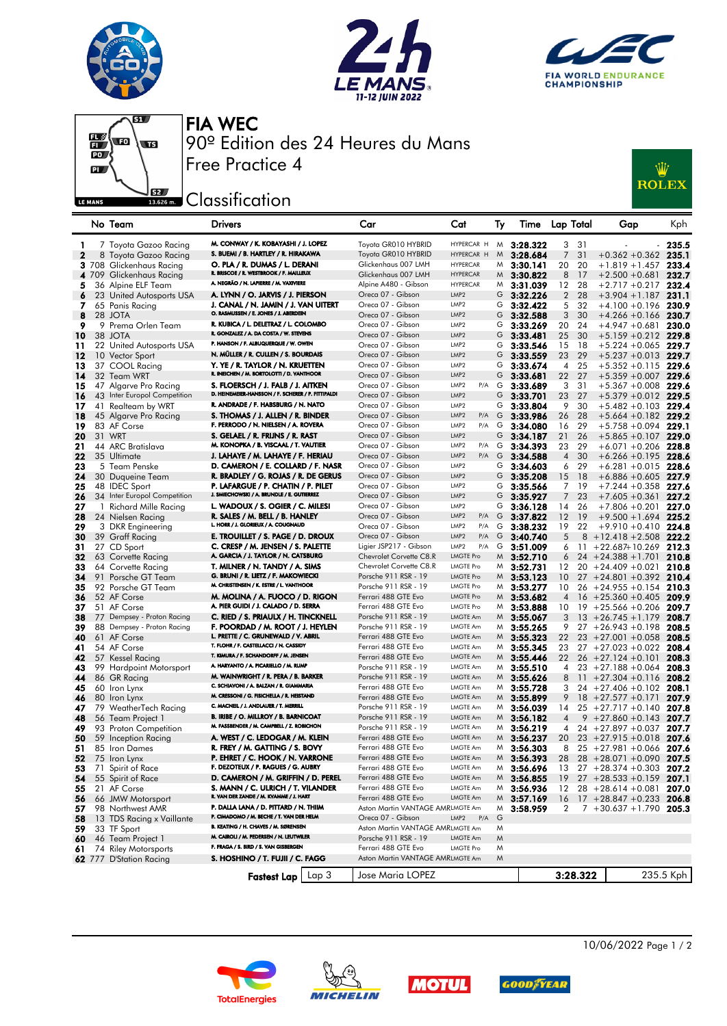







FIA WEC 90º Edition des 24 Heures du Mans

## **EREAD** Classification

Free Practice 4



|              |              | No Team                      | Drivers                                                                                  |       | Car                                        | Cat                                | Ту | lime         | Lap Total      |          | Gap                         | Kph       |
|--------------|--------------|------------------------------|------------------------------------------------------------------------------------------|-------|--------------------------------------------|------------------------------------|----|--------------|----------------|----------|-----------------------------|-----------|
|              |              |                              | M. CONWAY / K. KOBAYASHI / J. LOPEZ                                                      |       | Toyota GR010 HYBRID                        | HYPERCAR H                         |    |              |                |          |                             |           |
| 1            |              | 7 Toyota Gazoo Racing        | S. BUEMI / B. HARTLEY / R. HIRAKAWA                                                      |       |                                            | HYPERCAR H                         | M  | 3:28.322     | 3              | 31       |                             | - 235.5   |
| $\mathbf{2}$ |              | 8 Toyota Gazoo Racing        |                                                                                          |       | Toyota GR010 HYBRID<br>Glickenhaus 007 LMH |                                    | M  | 3:28.684     | 7              | 31       | $+0.362 + 0.362$ 235.1      |           |
|              |              | 3 708 Glickenhaus Racing     | O. PLA / R. DUMAS / L. DERANI<br>R. BRISCOE / R. WESTBROOK / F. MAILLEUX                 |       | Glickenhaus 007 LMH                        | <b>HYPERCAR</b><br><b>HYPERCAR</b> | M  | 3:30.141     | 20             | 20       | $+1.819 + 1.457$            | 233.4     |
|              |              | 4 709 Glickenhaus Racing     | A. NEGRÃO / N. LAPIERRE / M. VAXIVIERE                                                   |       |                                            | <b>HYPERCAR</b>                    | M  | 3:30.822     | 8              | 17       | $+2.500 + 0.681$ 232.7      |           |
| 5.           |              | 36 Alpine ELF Team           |                                                                                          |       | Alpine A480 - Gibson<br>Oreca 07 - Gibson  | LMP <sub>2</sub>                   | M  | 3:31.039     | 12             | 28       | $+2.717 + 0.217$ 232.4      |           |
| 6            |              | 23 United Autosports USA     | A. LYNN / O. JARVIS / J. PIERSON                                                         |       |                                            |                                    | G  | 3:32.226     | $\overline{2}$ | 28       | $+3.904 + 1.187$ 231.1      |           |
| 7.           |              | 65 Panis Racing              | J. CANAL / N. JAMIN / J. VAN UITERT<br>O. RASMUSSEN / E. JONES / J. ABERDEIN             |       | Oreca 07 - Gibson                          | LMP <sub>2</sub>                   | G  | 3:32.422     | 5              | 32       | $+4.100 + 0.196$ 230.9      |           |
| 8            |              | 28 JOTA                      | R. KUBICA / L. DELETRAZ / L. COLOMBO                                                     |       | Oreca 07 - Gibson                          | LMP <sub>2</sub>                   | G  | 3:32.588     | 3              | 30       | $+4.266 + 0.166$ 230.7      |           |
| 9            |              | 9 Prema Orlen Team           | R. GONZALEZ / A. DA COSTA / W. STEVENS                                                   |       | Oreca 07 - Gibson                          | LMP <sub>2</sub>                   | G  | 3:33.269     | 20             | 24       | $+4.947 +0.681$ 230.0       |           |
| 10           |              | 38 JOTA                      | P. HANSON / F. ALBUQUERQUE / W. OWEN                                                     |       | Oreca 07 - Gibson                          | LMP <sub>2</sub>                   | G  | 3:33.481     | 25             | 30       | $+5.159 + 0.212$ 229.8      |           |
| 11           |              | 22 United Autosports USA     |                                                                                          |       | Oreca 07 - Gibson                          | LMP <sub>2</sub>                   | G  | 3:33.546     | 15             | 18       | $+5.224 + 0.065$ 229.7      |           |
| 12           |              | 10 Vector Sport              | N. MÜLLER / R. CULLEN / S. BOURDAIS                                                      |       | Oreca 07 - Gibson                          | LMP <sub>2</sub>                   | G  | 3:33.559     | 23             | 29       | $+5.237 + 0.013$ 229.7      |           |
| 13           |              | 37 COOL Racing               | Y. YE / R. TAYLOR / N. KRUETTEN<br>R. INEICHEN / M. BORTOLOTTI / D. VANTHOOR             |       | Oreca 07 - Gibson                          | LMP <sub>2</sub>                   | G  | 3:33.674     | 4              | 25       | $+5.352 +0.115$ 229.6       |           |
| 14           |              | 32 Team WRT                  |                                                                                          |       | Oreca 07 - Gibson                          | LMP <sub>2</sub>                   | G  | 3:33.681     | 22             | 27       | $+5.359 + 0.007$ 229.6      |           |
| 15           |              | 47 Algarve Pro Racing        | S. FLOERSCH / J. FALB / J. AITKEN<br>D. HEINEMEIER-HANSSON / F. SCHERER / P. FITTIPALDI  |       | Oreca 07 - Gibson                          | LMP <sub>2</sub><br>P/A            | G  | 3:33.689     | 3              | 31       | $+5.367 + 0.008$ 229.6      |           |
| 16           |              | 43 Inter Europol Competition |                                                                                          |       | Oreca 07 - Gibson                          | LMP <sub>2</sub>                   | G  | 3:33.701     | 23             | 27       | $+5.379 + 0.012$ 229.5      |           |
| 17           |              | 41 Realteam by WRT           | R. ANDRADE / F. HABSBURG / N. NATO                                                       |       | Oreca 07 - Gibson                          | LMP <sub>2</sub>                   | G  | 3:33.804     | 9              | 30       | $+5.482 + 0.103$ 229.4      |           |
| 18           |              | 45 Algarve Pro Racing        | S. THOMAS / J. ALLEN / R. BINDER                                                         |       | Oreca 07 - Gibson                          | LMP <sub>2</sub><br>P/A            | G  | 3:33.986     | 26             | 28       | $+5.664 + 0.182$ 229.2      |           |
| 19           |              | 83 AF Corse                  | F. PERRODO / N. NIELSEN / A. ROVERA                                                      |       | Oreca 07 - Gibson                          | LMP <sub>2</sub><br>P/A            | G  | 3:34.080     | 16             | 29       | $+5.758 + 0.094$ 229.1      |           |
| 20           |              | 31 WRT                       | S. GELAEL / R. FRIJNS / R. RAST                                                          |       | Oreca 07 - Gibson                          | LMP <sub>2</sub>                   | G  | 3:34.187     | 21             | 26       | $+5.865 +0.107$ 229.0       |           |
| 21           |              | 44 ARC Bratislava            | M. KONOPKA / B. VISCAAL / T. VAUTIER                                                     |       | Oreca 07 - Gibson                          | LMP <sub>2</sub><br>P/A            | G  | 3:34.393     | 23             | 29       | $+6.071 + 0.206$ 228.8      |           |
| 22           |              | 35 Ultimate                  | J. LAHAYE / M. LAHAYE / F. HERIAU                                                        |       | Oreca 07 - Gibson                          | LMP <sub>2</sub><br>P/A            | G  | 3:34.588     | 4              | 30       | $+6.266 + 0.195$ 228.6      |           |
| 23           |              | 5 Team Penske                | D. CAMERON / E. COLLARD / F. NASR                                                        |       | Oreca 07 - Gibson                          | LMP <sub>2</sub>                   | G  | 3:34.603     | 6              | 29       | $+6.281 + 0.015$ 228.6      |           |
| 24           |              | 30 Duqueine Team             | R. BRADLEY / G. ROJAS / R. DE GERUS                                                      |       | Oreca 07 - Gibson                          | LMP <sub>2</sub>                   | G  | 3:35.208     | 15             | 18       | $+6.886 + 0.605$ 227.9      |           |
| 25           |              | 48 IDEC Sport                | P. LAFARGUE / P. CHATIN / P. PILET<br>J. SMIECHOWSKI / A. BRUNDLE / E. GUTIERREZ         |       | Oreca 07 - Gibson                          | LMP <sub>2</sub>                   | G  | 3:35.566     | 7              | -19      | $+7.244 + 0.358$ 227.6      |           |
| 26           |              | 34 Inter Europol Competition |                                                                                          |       | Oreca 07 - Gibson                          | LMP <sub>2</sub>                   | G  | 3:35.927     | 7              | 23       | $+7.605 + 0.361$            | 227.2     |
| 27           | $\mathbf{1}$ | Richard Mille Racing         | L. WADOUX / S. OGIER / C. MILESI                                                         |       | Oreca 07 - Gibson                          | LMP <sub>2</sub>                   | G  | 3:36.128     | 14             | 26       | $+7.806 + 0.201$            | 227.0     |
| 28           |              | 24 Nielsen Racing            | R. SALES / M. BELL / B. HANLEY<br>L. HORR / J. GLORIEUX / A. COUGNAUD                    |       | Oreca 07 - Gibson                          | LMP <sub>2</sub><br>P/A            | G  | 3:37.822     | 12             | 19       | $+9.500 + 1.694$ 225.2      |           |
| 29           |              | 3 DKR Engineering            |                                                                                          |       | Oreca 07 - Gibson                          | LMP <sub>2</sub><br>P/A            | G  | 3:38.232     | 19             | 22       | $+9.910 + 0.410$ 224.8      |           |
| 30           |              | 39 Graff Racing              | E. TROUILLET / S. PAGE / D. DROUX                                                        |       | Oreca 07 - Gibson                          | LMP <sub>2</sub><br>P/A            | G  | 3:40.740     | 5              |          | $8 + 12.418 + 2.508$ 222.2  |           |
| 31           |              | 27 CD Sport                  | C. CRESP / M. JENSEN / S. PALETTE                                                        |       | Ligier JSP217 - Gibson                     | LMP <sub>2</sub><br>P/A            | G  | 3:51.009     | 6              | 11       | $+22.687+10.269$ 212.3      |           |
| 32           |              | 63 Corvette Racing           | A. GARCIA / J. TAYLOR / N. CATSBURG                                                      |       | Chevrolet Corvette C8.R                    | LMGTE Pro                          | M  | 3:52.710     | 6              |          | $24 + 24.388 + 1.701$       | 210.8     |
| 33           |              | 64 Corvette Racing           | T. MILNER / N. TANDY / A. SIMS                                                           |       | Chevrolet Corvette C8.R                    | LMGTE Pro                          | M  | 3:52.731     | 12             |          | $20 + 24.409 + 0.021$ 210.8 |           |
| 34           |              | 91 Porsche GT Team           | G. BRUNI / R. LIETZ / F. MAKOWIECKI                                                      |       | Porsche 911 RSR - 19                       | <b>LMGTE Pro</b>                   | M  | 3:53.123     | 10             |          | $27 + 24.801 + 0.392$ 210.4 |           |
| 35           |              | 92 Porsche GT Team           | M. CHRISTENSEN / K. ESTRE / L. VANTHOOR                                                  |       | Porsche 911 RSR - 19                       | <b>LMGTE Pro</b>                   | M  | 3:53.277     | 10             |          | $26 + 24.955 + 0.154$ 210.3 |           |
| 36           |              | 52 AF Corse                  | M. MOLINA / A. FUOCO / D. RIGON                                                          |       | Ferrari 488 GTE Evo                        | LMGTE Pro                          | M  | 3:53.682     | 4              |          | $16 + 25.360 + 0.405$ 209.9 |           |
| 37           |              | 51 AF Corse                  | A. PIER GUIDI / J. CALADO / D. SERRA                                                     |       | Ferrari 488 GTE Evo                        | LMGTE Pro                          | M  | 3:53.888     | 10             | 19       | $+25.566 + 0.206$           | 209.7     |
| 38           |              | 77 Dempsey - Proton Racing   | C. RIED / S. PRIAULX / H. TINCKNELL                                                      |       | Porsche 911 RSR - 19                       | LMGTE Am                           |    | $M$ 3:55.067 | 3              |          | $13 + 26.745 + 1.179$       | 208.7     |
| 39           |              | 88 Dempsey - Proton Racing   | F. POORDAD / M. ROOT / J. HEYLEN                                                         |       | Porsche 911 RSR - 19                       | LMGTE Am                           | M  | 3:55.265     | 9              |          | $27 + 26.943 + 0.198$       | 208.5     |
| 40           |              | 61 AF Corse                  | L. PRETTE / C. GRUNEWALD / V. ABRIL                                                      |       | Ferrari 488 GTE Evo                        | LMGTE Am                           | M  | 3:55.323     | 22             |          | $23 + 27.001 + 0.058$       | 208.5     |
| 41           |              | 54 AF Corse                  | T. FLOHR / F. CASTELLACCI / N. CASSIDY<br>T. KIMURA / F. SCHANDORFF / M. JENSEN          |       | Ferrari 488 GTE Evo                        | LMGTE Am                           | M  | 3:55.345     | 23             |          | $27 + 27.023 + 0.022$ 208.4 |           |
| 42           |              | 57 Kessel Racing             |                                                                                          |       | Ferrari 488 GTE Evo                        | LMGTE Am                           | M  | 3:55.446     | 22             |          | $26 + 27.124 + 0.101$       | 208.3     |
| 43           |              | 99 Hardpoint Motorsport      | A. HARYANTO / A. PICARIELLO / M. RUMP                                                    |       | Porsche 911 RSR - 19                       | LMGTE Am                           | M  | 3:55.510     | 4              |          | $23 + 27.188 + 0.064$       | 208.3     |
| 44           |              | 86 GR Racing                 | M. WAINWRIGHT / R. PERA / B. BARKER<br>C. SCHIAVONI / A. BALZAN / R. GIAMMARIA           |       | Porsche 911 RSR - 19                       | LMGTE Am                           | M  | 3:55.626     | 8              |          | $11 + 27.304 + 0.116$       | 208.2     |
| 45           |              | 60 Iron Lynx                 | M. CRESSONI / G. FISICHELLA / R. HEISTAND                                                |       | Ferrari 488 GTE Evo                        | LMGTE Am                           | M  | 3:55.728     | 3              |          | $24 + 27.406 + 0.102$       | 208.1     |
| 46           |              | 80 Iron Lynx                 | C. MACNEIL / J. ANDLAUER / T. MERRILL                                                    |       | Ferrari 488 GTE Evo                        | LMGTE Am                           | M  | 3:55.899     | 9              |          | $18 + 27.577 + 0.171$       | 207.9     |
| 47           |              | 79 WeatherTech Racing        |                                                                                          |       | Porsche 911 RSR - 19                       | LMGTE Am                           | M  | 3:56.039     | 14             |          | $25 + 27.717 + 0.140$       | 207.8     |
| 48           |              | 56 Team Project 1            | <b>B. IRIBE / O. MILLROY / B. BARNICOAT</b><br>M. FASSBENDER / M. CAMPBELL / Z. ROBICHON |       | Porsche 911 RSR - 19                       | LMGTE Am                           | M  | 3:56.182     | 4              |          | $9 + 27.860 + 0.143$        | 207.7     |
| 49           |              | 93 Proton Competition        |                                                                                          |       | Porsche 911 RSR - 19                       | LMGTE Am                           | M  | 3:56.219     | 4              |          | $24 + 27.897 + 0.037$ 207.7 |           |
| 50           |              | 59 Inception Racing          | A. WEST / C. LEDOGAR / M. KLEIN                                                          |       | Ferrari 488 GTE Evo                        | LMGTE Am                           | M  | 3:56.237     | 20             |          | $23 + 27.915 + 0.018$       | 207.6     |
| 51           |              | 85 Iron Dames                | R. FREY / M. GATTING / S. BOVY                                                           |       | Ferrari 488 GTE Evo                        | LMGTE Am                           | M  | 3:56.303     | 8              |          | $25 + 27.981 + 0.066$ 207.6 |           |
| 52           |              | 75 Iron Lynx                 | P. EHRET / C. HOOK / N. VARRONE                                                          |       | Ferrari 488 GTE Evo                        | LMGTE Am                           |    | $M$ 3:56.393 | 28             |          | $28 + 28.071 + 0.090$ 207.5 |           |
|              |              | 53 71 Spirit of Race         | F. DEZOTEUX / P. RAGUES / G. AUBRY                                                       |       | Ferrari 488 GTE Evo                        | <b>LMGTE Am</b>                    | M  | 3:56.696     | 13             |          | $27 + 28.374 + 0.303$ 207.2 |           |
|              |              | 54 55 Spirit of Race         | D. CAMERON / M. GRIFFIN / D. PEREL                                                       |       | Ferrari 488 GTE Evo                        | LMGTE Am                           |    | $M$ 3:56.855 | 19             |          | $27 + 28.533 + 0.159$ 207.1 |           |
|              |              | <b>55</b> 21 AF Corse        | S. MANN / C. ULRICH / T. VILANDER<br>R. VAN DER ZANDE / M. KVAMME / J. HART              |       | Ferrari 488 GTE Evo                        | LMGTE Am                           |    | $M$ 3:56.936 | 12             |          | $28 + 28.614 + 0.081$ 207.0 |           |
| 56           |              | 66 JMW Motorsport            |                                                                                          |       | Ferrari 488 GTE Evo                        | LMGTE Am                           | M  | 3:57.169     | 16             |          | $17 + 28.847 + 0.233$ 206.8 |           |
| 57.          |              | 98 Northwest AMR             | P. DALLA LANA / D. PITTARD / N. THIIM                                                    |       | Aston Martin VANTAGE AMRLMGTE Am           |                                    | M  | 3:58.959     | 2              |          | $7 + 30.637 + 1.790$ 205.3  |           |
| 58           |              | 13 TDS Racing x Vaillante    | P. CIMADOMO / M. BECHE / T. VAN DER HELM                                                 |       | Oreca 07 - Gibson                          | LMP <sub>2</sub><br>P/A            | G  |              |                |          |                             |           |
| 59           |              | 33 TF Sport                  | B. KEATING / H. CHAVES / M. SØRENSEN                                                     |       | Aston Martin VANTAGE AMRLMGTE Am           |                                    | M  |              |                |          |                             |           |
| 60           |              | 46 Team Project 1            | M. CAIROLI / M. PEDERSEN / N. LEUTWILER                                                  |       | Porsche 911 RSR - 19                       | LMGTE Am                           | M  |              |                |          |                             |           |
| 61           |              | 74 Riley Motorsports         | F. FRAGA / S. BIRD / S. VAN GISBERGEN                                                    |       | Ferrari 488 GTE Evo                        | <b>LMGTE Pro</b>                   | M  |              |                |          |                             |           |
|              |              | 62 777 D'Station Racing      | S. HOSHINO / T. FUJII / C. FAGG                                                          |       | Aston Martin VANTAGE AMRLMGTE Am           |                                    | M  |              |                |          |                             |           |
|              |              |                              |                                                                                          | Lap 3 | Jose Maria LOPEZ                           |                                    |    |              |                | 3:28.322 |                             | 235.5 Kph |
|              |              |                              | <b>Fastest Lap</b>                                                                       |       |                                            |                                    |    |              |                |          |                             |           |









10/06/2022 Page 1 / 2